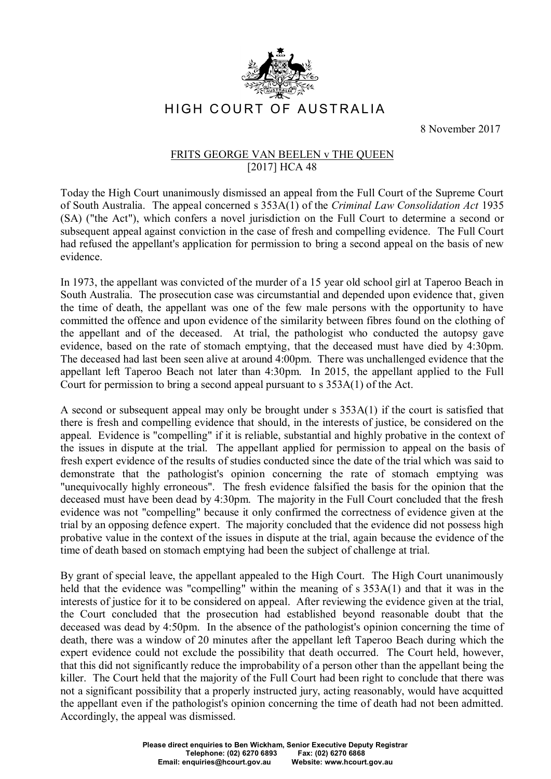

HIGH COURT OF AUSTRALIA

8 November 2017

## FRITS GEORGE VAN BEELEN v THE QUEEN [2017] HCA 48

Today the High Court unanimously dismissed an appeal from the Full Court of the Supreme Court of South Australia. The appeal concerned s 353A(1) of the *Criminal Law Consolidation Act* 1935 (SA) ("the Act"), which confers a novel jurisdiction on the Full Court to determine a second or subsequent appeal against conviction in the case of fresh and compelling evidence. The Full Court had refused the appellant's application for permission to bring a second appeal on the basis of new evidence.

In 1973, the appellant was convicted of the murder of a 15 year old school girl at Taperoo Beach in South Australia. The prosecution case was circumstantial and depended upon evidence that, given the time of death, the appellant was one of the few male persons with the opportunity to have committed the offence and upon evidence of the similarity between fibres found on the clothing of the appellant and of the deceased. At trial, the pathologist who conducted the autopsy gave evidence, based on the rate of stomach emptying, that the deceased must have died by 4:30pm. The deceased had last been seen alive at around 4:00pm. There was unchallenged evidence that the appellant left Taperoo Beach not later than 4:30pm. In 2015, the appellant applied to the Full Court for permission to bring a second appeal pursuant to s 353A(1) of the Act.

A second or subsequent appeal may only be brought under s 353A(1) if the court is satisfied that there is fresh and compelling evidence that should, in the interests of justice, be considered on the appeal. Evidence is "compelling" if it is reliable, substantial and highly probative in the context of the issues in dispute at the trial. The appellant applied for permission to appeal on the basis of fresh expert evidence of the results of studies conducted since the date of the trial which was said to demonstrate that the pathologist's opinion concerning the rate of stomach emptying was "unequivocally highly erroneous". The fresh evidence falsified the basis for the opinion that the deceased must have been dead by 4:30pm. The majority in the Full Court concluded that the fresh evidence was not "compelling" because it only confirmed the correctness of evidence given at the trial by an opposing defence expert. The majority concluded that the evidence did not possess high probative value in the context of the issues in dispute at the trial, again because the evidence of the time of death based on stomach emptying had been the subject of challenge at trial.

By grant of special leave, the appellant appealed to the High Court. The High Court unanimously held that the evidence was "compelling" within the meaning of s  $353A(1)$  and that it was in the interests of justice for it to be considered on appeal. After reviewing the evidence given at the trial, the Court concluded that the prosecution had established beyond reasonable doubt that the deceased was dead by 4:50pm. In the absence of the pathologist's opinion concerning the time of death, there was a window of 20 minutes after the appellant left Taperoo Beach during which the expert evidence could not exclude the possibility that death occurred. The Court held, however, that this did not significantly reduce the improbability of a person other than the appellant being the killer. The Court held that the majority of the Full Court had been right to conclude that there was not a significant possibility that a properly instructed jury, acting reasonably, would have acquitted the appellant even if the pathologist's opinion concerning the time of death had not been admitted. Accordingly, the appeal was dismissed.